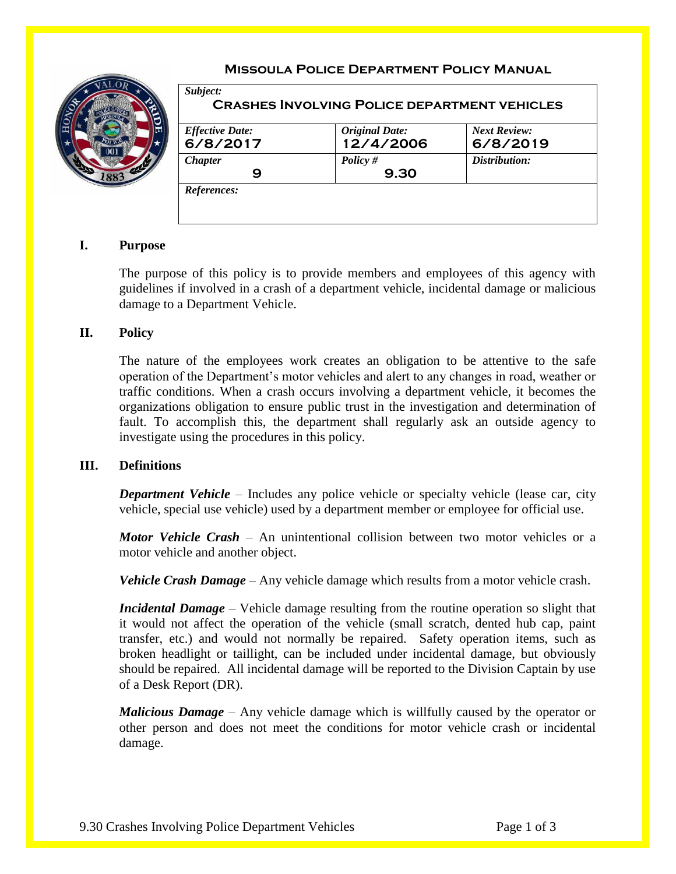

*Subject:*

## **Missoula Police Department Policy Manual**

| <b>Effective Date:</b> | <b>Original Date:</b> | <b>Next Review:</b> |
|------------------------|-----------------------|---------------------|
| 6/8/2017               | 12/4/2006             | 6/8/2019            |
| <b>Chapter</b>         | Policy $#$            | Distribution:       |
| 9                      | 9.30                  |                     |
| References:            |                       |                     |

# **I. Purpose**

The purpose of this policy is to provide members and employees of this agency with guidelines if involved in a crash of a department vehicle, incidental damage or malicious damage to a Department Vehicle.

### **II. Policy**

The nature of the employees work creates an obligation to be attentive to the safe operation of the Department's motor vehicles and alert to any changes in road, weather or traffic conditions. When a crash occurs involving a department vehicle, it becomes the organizations obligation to ensure public trust in the investigation and determination of fault. To accomplish this, the department shall regularly ask an outside agency to investigate using the procedures in this policy.

#### **III. Definitions**

*Department Vehicle* – Includes any police vehicle or specialty vehicle (lease car, city vehicle, special use vehicle) used by a department member or employee for official use.

*Motor Vehicle Crash* – An unintentional collision between two motor vehicles or a motor vehicle and another object.

*Vehicle Crash Damage* – Any vehicle damage which results from a motor vehicle crash.

*Incidental Damage* – Vehicle damage resulting from the routine operation so slight that it would not affect the operation of the vehicle (small scratch, dented hub cap, paint transfer, etc.) and would not normally be repaired. Safety operation items, such as broken headlight or taillight, can be included under incidental damage, but obviously should be repaired. All incidental damage will be reported to the Division Captain by use of a Desk Report (DR).

*Malicious Damage* – Any vehicle damage which is willfully caused by the operator or other person and does not meet the conditions for motor vehicle crash or incidental damage.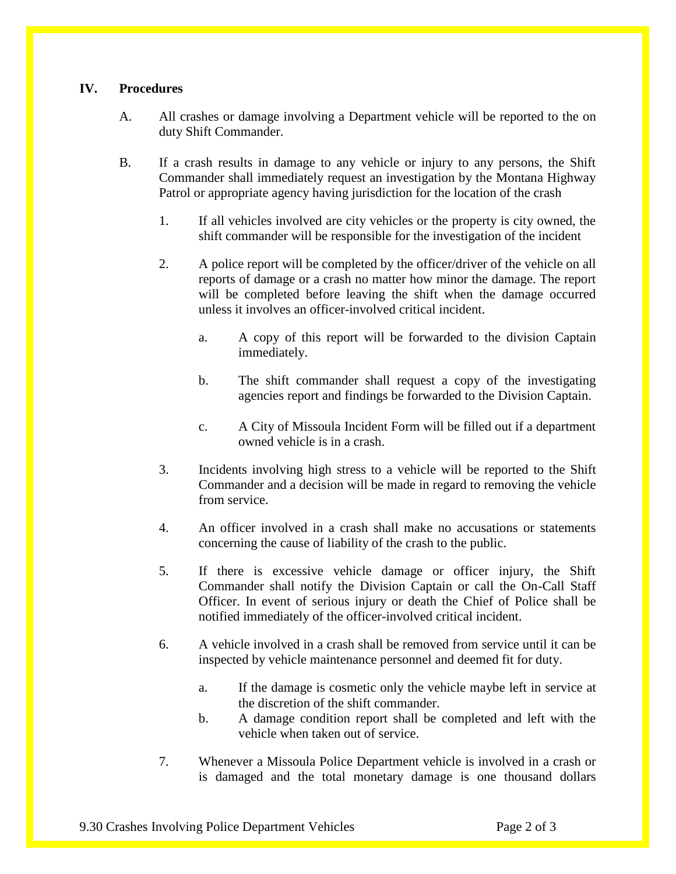## **IV. Procedures**

- A. All crashes or damage involving a Department vehicle will be reported to the on duty Shift Commander.
- B. If a crash results in damage to any vehicle or injury to any persons, the Shift Commander shall immediately request an investigation by the Montana Highway Patrol or appropriate agency having jurisdiction for the location of the crash
	- 1. If all vehicles involved are city vehicles or the property is city owned, the shift commander will be responsible for the investigation of the incident
	- 2. A police report will be completed by the officer/driver of the vehicle on all reports of damage or a crash no matter how minor the damage. The report will be completed before leaving the shift when the damage occurred unless it involves an officer-involved critical incident.
		- a. A copy of this report will be forwarded to the division Captain immediately.
		- b. The shift commander shall request a copy of the investigating agencies report and findings be forwarded to the Division Captain.
		- c. A City of Missoula Incident Form will be filled out if a department owned vehicle is in a crash.
	- 3. Incidents involving high stress to a vehicle will be reported to the Shift Commander and a decision will be made in regard to removing the vehicle from service.
	- 4. An officer involved in a crash shall make no accusations or statements concerning the cause of liability of the crash to the public.
	- 5. If there is excessive vehicle damage or officer injury, the Shift Commander shall notify the Division Captain or call the On-Call Staff Officer. In event of serious injury or death the Chief of Police shall be notified immediately of the officer-involved critical incident.
	- 6. A vehicle involved in a crash shall be removed from service until it can be inspected by vehicle maintenance personnel and deemed fit for duty.
		- a. If the damage is cosmetic only the vehicle maybe left in service at the discretion of the shift commander.
		- b. A damage condition report shall be completed and left with the vehicle when taken out of service.
	- 7. Whenever a Missoula Police Department vehicle is involved in a crash or is damaged and the total monetary damage is one thousand dollars